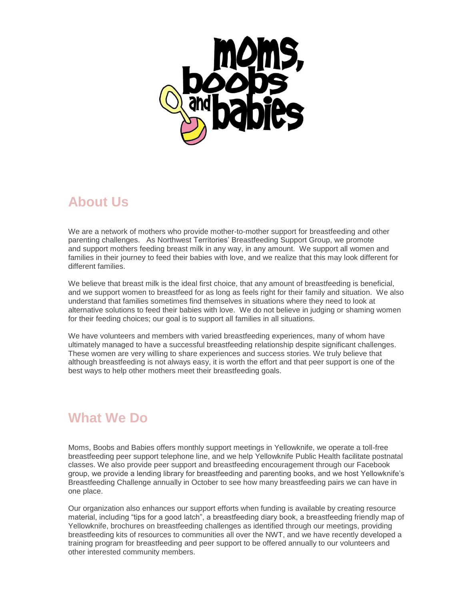

## **About Us**

We are a network of mothers who provide mother-to-mother support for breastfeeding and other parenting challenges. As Northwest Territories' Breastfeeding Support Group, we promote and support mothers feeding breast milk in any way, in any amount. We support all women and families in their journey to feed their babies with love, and we realize that this may look different for different families.

We believe that breast milk is the ideal first choice, that any amount of breastfeeding is beneficial, and we support women to breastfeed for as long as feels right for their family and situation. We also understand that families sometimes find themselves in situations where they need to look at alternative solutions to feed their babies with love. We do not believe in judging or shaming women for their feeding choices; our goal is to support all families in all situations.

We have volunteers and members with varied breastfeeding experiences, many of whom have ultimately managed to have a successful breastfeeding relationship despite significant challenges. These women are very willing to share experiences and success stories. We truly believe that although breastfeeding is not always easy, it is worth the effort and that peer support is one of the best ways to help other mothers meet their breastfeeding goals.

# **What We Do**

Moms, Boobs and Babies offers monthly support meetings in Yellowknife, we operate a toll-free breastfeeding peer support telephone line, and we help Yellowknife Public Health facilitate postnatal classes. We also provide peer support and breastfeeding encouragement through our Facebook group, we provide a lending library for breastfeeding and parenting books, and we host Yellowknife's Breastfeeding Challenge annually in October to see how many breastfeeding pairs we can have in one place.

Our organization also enhances our support efforts when funding is available by creating resource material, including "tips for a good latch", a breastfeeding diary book, a breastfeeding friendly map of Yellowknife, brochures on breastfeeding challenges as identified through our meetings, providing breastfeeding kits of resources to communities all over the NWT, and we have recently developed a training program for breastfeeding and peer support to be offered annually to our volunteers and other interested community members.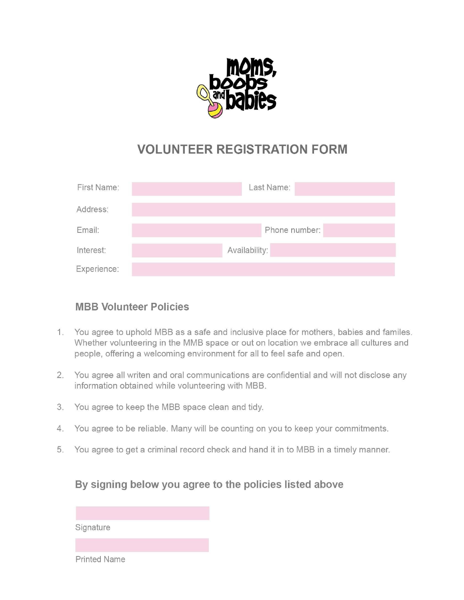

# **VOLUNTEER REGISTRATION FORM**

| First Name: | Last Name:    |
|-------------|---------------|
| Address:    |               |
| Email:      | Phone number: |
| Interest:   | Availability: |
| Experience: |               |

#### **MBB Volunteer Policies**

- 1. You agree to uphold MBB as a safe and inclusive place for mothers, babies and familes. Whether volunteering in the MMB space or out on location we embrace all cultures and people, offering a welcoming environment for all to feel safe and open.
- 2. You agree all writen and oral communications are confidential and will not disclose any information obtained while volunteering with MBB.
- 3. You agree to keep the MBB space clean and tidy.
- 4. You agree to be reliable. Many will be counting on you to keep your commitments.
- 5. You agree to get a criminal record check and hand it in to MBB in a timely manner.

#### By signing below you agree to the policies listed above